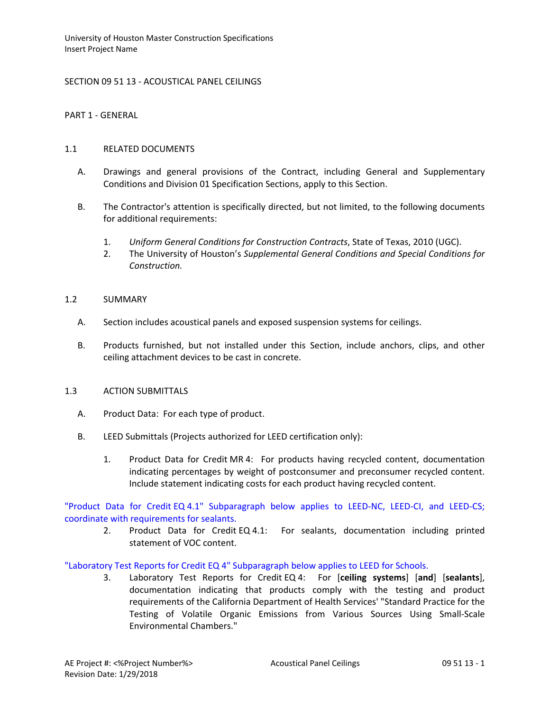SECTION 09 51 13 - ACOUSTICAL PANEL CEILINGS

PART 1 - GENERAL

### 1.1 RELATED DOCUMENTS

- A. Drawings and general provisions of the Contract, including General and Supplementary Conditions and Division 01 Specification Sections, apply to this Section.
- B. The Contractor's attention is specifically directed, but not limited, to the following documents for additional requirements:
	- 1. *Uniform General Conditions for Construction Contracts*, State of Texas, 2010 (UGC).
	- 2. The University of Houston's *Supplemental General Conditions and Special Conditions for Construction.*

### 1.2 SUMMARY

- A. Section includes acoustical panels and exposed suspension systems for ceilings.
- B. Products furnished, but not installed under this Section, include anchors, clips, and other ceiling attachment devices to be cast in concrete.

### 1.3 ACTION SUBMITTALS

- A. Product Data: For each type of product.
- B. LEED Submittals (Projects authorized for LEED certification only):
	- 1. Product Data for Credit MR 4: For products having recycled content, documentation indicating percentages by weight of postconsumer and preconsumer recycled content. Include statement indicating costs for each product having recycled content.

"Product Data for Credit EQ 4.1" Subparagraph below applies to LEED-NC, LEED-CI, and LEED-CS; coordinate with requirements for sealants.

2. Product Data for Credit EQ 4.1: For sealants, documentation including printed statement of VOC content.

## "Laboratory Test Reports for Credit EQ 4" Subparagraph below applies to LEED for Schools.

3. Laboratory Test Reports for Credit EQ 4: For [**ceiling systems**] [**and**] [**sealants**], documentation indicating that products comply with the testing and product requirements of the California Department of Health Services' "Standard Practice for the Testing of Volatile Organic Emissions from Various Sources Using Small-Scale Environmental Chambers."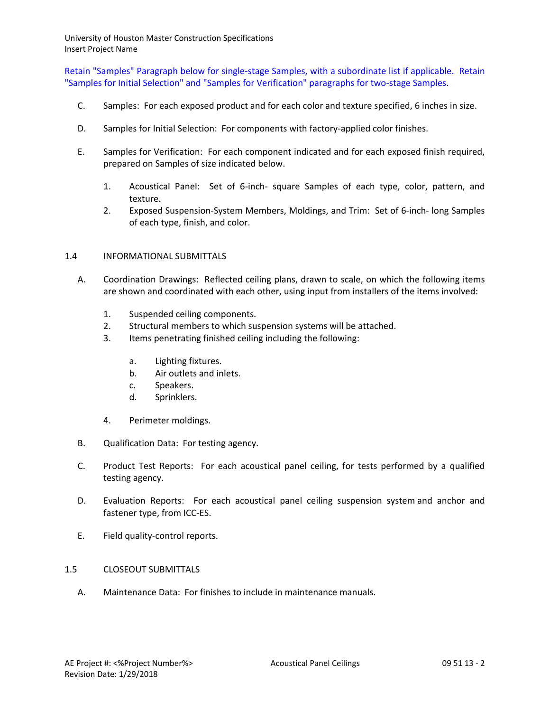Retain "Samples" Paragraph below for single-stage Samples, with a subordinate list if applicable. Retain "Samples for Initial Selection" and "Samples for Verification" paragraphs for two-stage Samples.

- C. Samples: For each exposed product and for each color and texture specified, 6 inches in size.
- D. Samples for Initial Selection: For components with factory-applied color finishes.
- E. Samples for Verification: For each component indicated and for each exposed finish required, prepared on Samples of size indicated below.
	- 1. Acoustical Panel: Set of 6-inch- square Samples of each type, color, pattern, and texture.
	- 2. Exposed Suspension-System Members, Moldings, and Trim: Set of 6-inch- long Samples of each type, finish, and color.

## 1.4 INFORMATIONAL SUBMITTALS

- A. Coordination Drawings: Reflected ceiling plans, drawn to scale, on which the following items are shown and coordinated with each other, using input from installers of the items involved:
	- 1. Suspended ceiling components.
	- 2. Structural members to which suspension systems will be attached.
	- 3. Items penetrating finished ceiling including the following:
		- a. Lighting fixtures.
		- b. Air outlets and inlets.
		- c. Speakers.
		- d. Sprinklers.
	- 4. Perimeter moldings.
- B. Qualification Data: For testing agency.
- C. Product Test Reports: For each acoustical panel ceiling, for tests performed by a qualified testing agency.
- D. Evaluation Reports: For each acoustical panel ceiling suspension system and anchor and fastener type, from ICC-ES.
- E. Field quality-control reports.
- 1.5 CLOSEOUT SUBMITTALS
	- A. Maintenance Data: For finishes to include in maintenance manuals.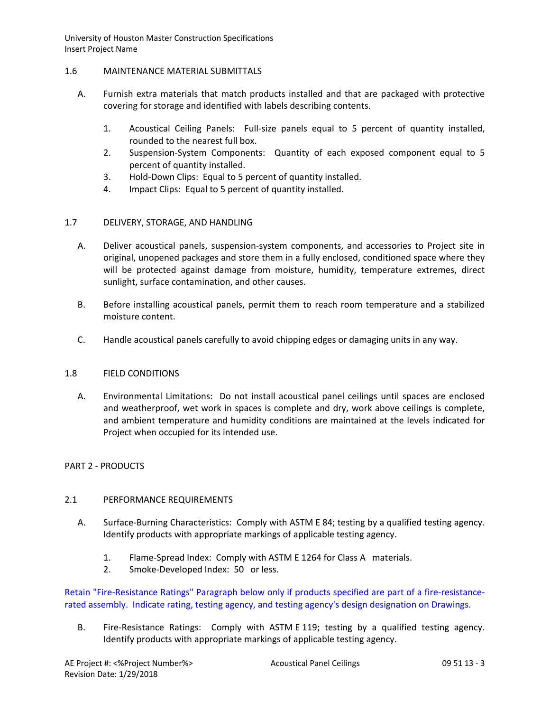### 1.6 MAINTENANCE MATERIAL SUBMITTALS

- A. Furnish extra materials that match products installed and that are packaged with protective covering for storage and identified with labels describing contents.
	- 1. Acoustical Ceiling Panels: Full-size panels equal to 5 percent of quantity installed, rounded to the nearest full box.
	- 2. Suspension-System Components: Quantity of each exposed component equal to 5 percent of quantity installed.
	- 3. Hold-Down Clips: Equal to 5 percent of quantity installed.
	- 4. Impact Clips: Equal to 5 percent of quantity installed.

## 1.7 DELIVERY, STORAGE, AND HANDLING

- A. Deliver acoustical panels, suspension-system components, and accessories to Project site in original, unopened packages and store them in a fully enclosed, conditioned space where they will be protected against damage from moisture, humidity, temperature extremes, direct sunlight, surface contamination, and other causes.
- B. Before installing acoustical panels, permit them to reach room temperature and a stabilized moisture content.
- C. Handle acoustical panels carefully to avoid chipping edges or damaging units in any way.

## 1.8 FIELD CONDITIONS

A. Environmental Limitations: Do not install acoustical panel ceilings until spaces are enclosed and weatherproof, wet work in spaces is complete and dry, work above ceilings is complete, and ambient temperature and humidity conditions are maintained at the levels indicated for Project when occupied for its intended use.

## PART 2 - PRODUCTS

## 2.1 PERFORMANCE REQUIREMENTS

- A. Surface-Burning Characteristics: Comply with ASTM E 84; testing by a qualified testing agency. Identify products with appropriate markings of applicable testing agency.
	- 1. Flame-Spread Index: Comply with ASTM E 1264 for Class A materials.
	- 2. Smoke-Developed Index: 50 or less.

Retain "Fire-Resistance Ratings" Paragraph below only if products specified are part of a fire-resistancerated assembly. Indicate rating, testing agency, and testing agency's design designation on Drawings.

B. Fire-Resistance Ratings: Comply with ASTM E 119; testing by a qualified testing agency. Identify products with appropriate markings of applicable testing agency.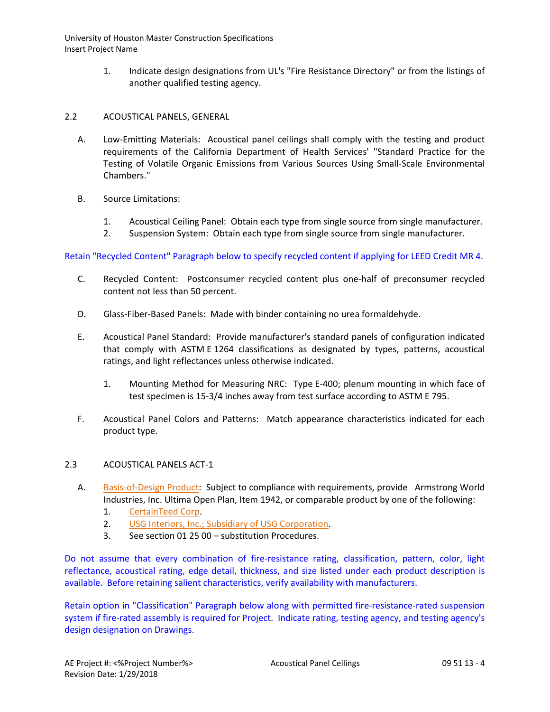> 1. Indicate design designations from UL's "Fire Resistance Directory" or from the listings of another qualified testing agency.

## 2.2 ACOUSTICAL PANELS, GENERAL

- A. Low-Emitting Materials: Acoustical panel ceilings shall comply with the testing and product requirements of the California Department of Health Services' "Standard Practice for the Testing of Volatile Organic Emissions from Various Sources Using Small-Scale Environmental Chambers."
- B. Source Limitations:
	- 1. Acoustical Ceiling Panel: Obtain each type from single source from single manufacturer.
	- 2. Suspension System: Obtain each type from single source from single manufacturer.

Retain "Recycled Content" Paragraph below to specify recycled content if applying for LEED Credit MR 4.

- C. Recycled Content: Postconsumer recycled content plus one-half of preconsumer recycled content not less than 50 percent.
- D. Glass-Fiber-Based Panels: Made with binder containing no urea formaldehyde.
- E. Acoustical Panel Standard: Provide manufacturer's standard panels of configuration indicated that comply with ASTM E 1264 classifications as designated by types, patterns, acoustical ratings, and light reflectances unless otherwise indicated.
	- 1. Mounting Method for Measuring NRC: Type E-400; plenum mounting in which face of test specimen is 15-3/4 inches away from test surface according to ASTM E 795.
- F. Acoustical Panel Colors and Patterns: Match appearance characteristics indicated for each product type.

## 2.3 ACOUSTICAL PANELS ACT-1

- A. [Basis-of-Design Product:](http://www.specagent.com/LookUp/?ulid=344&mf=04&src=wd) Subject to compliance with requirements, provide Armstrong World Industries, Inc. Ultima Open Plan, Item 1942, or comparable product by one of the following:
	- 1. [CertainTeed Corp.](http://www.specagent.com/LookUp/?uid=123456792923&mf=04&src=wd)
	- 2. [USG Interiors, Inc.; Subsidiary of USG Corporation.](http://www.specagent.com/LookUp/?uid=123456815586&mf=04&src=wd)
	- 3. See section 01 25 00 substitution Procedures.

Do not assume that every combination of fire-resistance rating, classification, pattern, color, light reflectance, acoustical rating, edge detail, thickness, and size listed under each product description is available. Before retaining salient characteristics, verify availability with manufacturers.

Retain option in "Classification" Paragraph below along with permitted fire-resistance-rated suspension system if fire-rated assembly is required for Project. Indicate rating, testing agency, and testing agency's design designation on Drawings.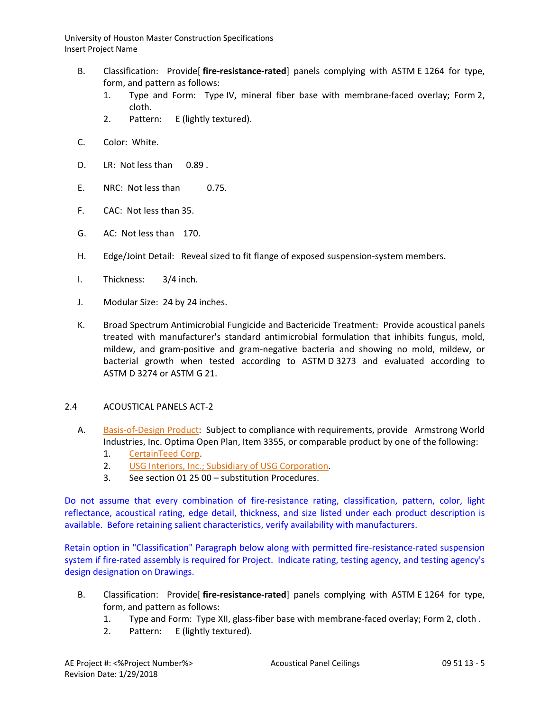- B. Classification: Provide[ **fire-resistance-rated**] panels complying with ASTM E 1264 for type, form, and pattern as follows:
	- 1. Type and Form: Type IV, mineral fiber base with membrane-faced overlay; Form 2, cloth.
	- 2. Pattern: E (lightly textured).
- C. Color: White.
- D. LR: Not less than 0.89 .
- E. NRC: Not less than 0.75.
- F. CAC: Not less than 35.
- G. AC: Not less than 170.
- H. Edge/Joint Detail: Reveal sized to fit flange of exposed suspension-system members.
- I. Thickness: 3/4 inch.
- J. Modular Size: 24 by 24 inches.
- K. Broad Spectrum Antimicrobial Fungicide and Bactericide Treatment: Provide acoustical panels treated with manufacturer's standard antimicrobial formulation that inhibits fungus, mold, mildew, and gram-positive and gram-negative bacteria and showing no mold, mildew, or bacterial growth when tested according to ASTM D 3273 and evaluated according to ASTM D 3274 or ASTM G 21.

## 2.4 ACOUSTICAL PANELS ACT-2

- A. [Basis-of-Design Product:](http://www.specagent.com/LookUp/?ulid=344&mf=04&src=wd) Subject to compliance with requirements, provide Armstrong World Industries, Inc. Optima Open Plan, Item 3355, or comparable product by one of the following:
	- 1. [CertainTeed Corp.](http://www.specagent.com/LookUp/?uid=123456792923&mf=04&src=wd)
	- 2. [USG Interiors, Inc.; Subsidiary of USG Corporation.](http://www.specagent.com/LookUp/?uid=123456815586&mf=04&src=wd)
	- 3. See section 01 25 00 substitution Procedures.

Do not assume that every combination of fire-resistance rating, classification, pattern, color, light reflectance, acoustical rating, edge detail, thickness, and size listed under each product description is available. Before retaining salient characteristics, verify availability with manufacturers.

Retain option in "Classification" Paragraph below along with permitted fire-resistance-rated suspension system if fire-rated assembly is required for Project. Indicate rating, testing agency, and testing agency's design designation on Drawings.

- B. Classification: Provide[ **fire-resistance-rated**] panels complying with ASTM E 1264 for type, form, and pattern as follows:
	- 1. Type and Form: Type XII, glass-fiber base with membrane-faced overlay; Form 2, cloth .
	- 2. Pattern: E (lightly textured).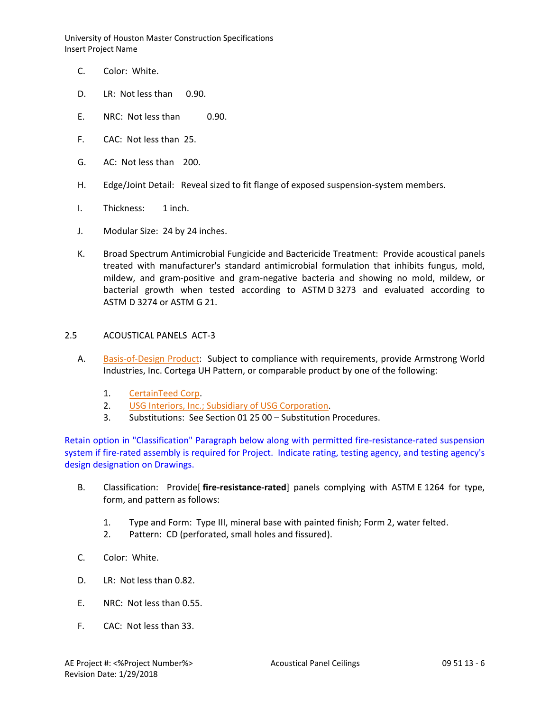- C. Color: White.
- D. LR: Not less than 0.90.
- E. NRC: Not less than 0.90.
- F. CAC: Not less than 25.
- G. AC: Not less than 200.
- H. Edge/Joint Detail: Reveal sized to fit flange of exposed suspension-system members.
- I. Thickness: 1 inch.
- J. Modular Size: 24 by 24 inches.
- K. Broad Spectrum Antimicrobial Fungicide and Bactericide Treatment: Provide acoustical panels treated with manufacturer's standard antimicrobial formulation that inhibits fungus, mold, mildew, and gram-positive and gram-negative bacteria and showing no mold, mildew, or bacterial growth when tested according to ASTM D 3273 and evaluated according to ASTM D 3274 or ASTM G 21.

### 2.5 ACOUSTICAL PANELS ACT-3

- A. [Basis-of-Design Product:](http://www.specagent.com/LookUp/?ulid=344&mf=04&src=wd) Subject to compliance with requirements, provide Armstrong World Industries, Inc. Cortega UH Pattern, or comparable product by one of the following:
	- 1. [CertainTeed Corp.](http://www.specagent.com/LookUp/?uid=123456792923&mf=04&src=wd)
	- 2. [USG Interiors, Inc.; Subsidiary of USG Corporation.](http://www.specagent.com/LookUp/?uid=123456815586&mf=04&src=wd)
	- 3. Substitutions: See Section 01 25 00 Substitution Procedures.

Retain option in "Classification" Paragraph below along with permitted fire-resistance-rated suspension system if fire-rated assembly is required for Project. Indicate rating, testing agency, and testing agency's design designation on Drawings.

- B. Classification: Provide[ **fire-resistance-rated**] panels complying with ASTM E 1264 for type, form, and pattern as follows:
	- 1. Type and Form: Type III, mineral base with painted finish; Form 2, water felted.
	- 2. Pattern: CD (perforated, small holes and fissured).
- C. Color: White.
- D. LR: Not less than 0.82.
- E. NRC: Not less than 0.55.
- F. CAC: Not less than 33.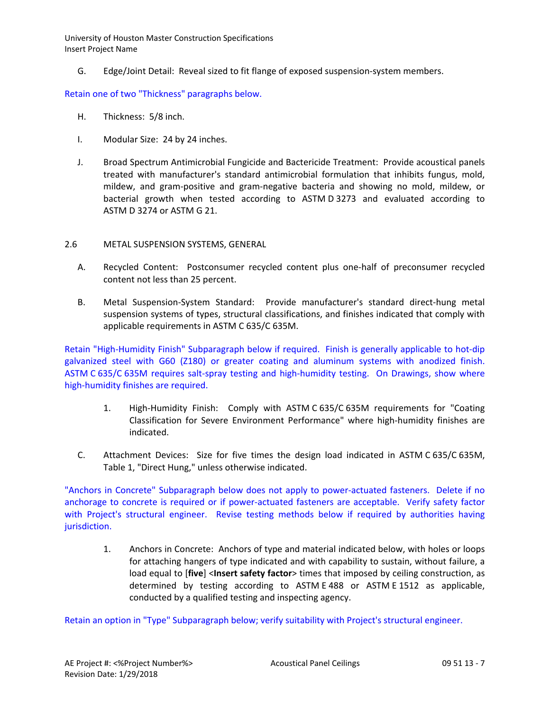G. Edge/Joint Detail: Reveal sized to fit flange of exposed suspension-system members.

## Retain one of two "Thickness" paragraphs below.

- H. Thickness: 5/8 inch.
- I. Modular Size: 24 by 24 inches.
- J. Broad Spectrum Antimicrobial Fungicide and Bactericide Treatment: Provide acoustical panels treated with manufacturer's standard antimicrobial formulation that inhibits fungus, mold, mildew, and gram-positive and gram-negative bacteria and showing no mold, mildew, or bacterial growth when tested according to ASTM D 3273 and evaluated according to ASTM D 3274 or ASTM G 21.
- 2.6 METAL SUSPENSION SYSTEMS, GENERAL
	- A. Recycled Content: Postconsumer recycled content plus one-half of preconsumer recycled content not less than 25 percent.
	- B. Metal Suspension-System Standard: Provide manufacturer's standard direct-hung metal suspension systems of types, structural classifications, and finishes indicated that comply with applicable requirements in ASTM C 635/C 635M.

Retain "High-Humidity Finish" Subparagraph below if required. Finish is generally applicable to hot-dip galvanized steel with G60 (Z180) or greater coating and aluminum systems with anodized finish. ASTM C 635/C 635M requires salt-spray testing and high-humidity testing. On Drawings, show where high-humidity finishes are required.

- 1. High-Humidity Finish: Comply with ASTM C 635/C 635M requirements for "Coating Classification for Severe Environment Performance" where high-humidity finishes are indicated.
- C. Attachment Devices: Size for five times the design load indicated in ASTM C 635/C 635M, Table 1, "Direct Hung," unless otherwise indicated.

"Anchors in Concrete" Subparagraph below does not apply to power-actuated fasteners. Delete if no anchorage to concrete is required or if power-actuated fasteners are acceptable. Verify safety factor with Project's structural engineer. Revise testing methods below if required by authorities having jurisdiction.

1. Anchors in Concrete: Anchors of type and material indicated below, with holes or loops for attaching hangers of type indicated and with capability to sustain, without failure, a load equal to [**five**] <**Insert safety factor**> times that imposed by ceiling construction, as determined by testing according to ASTM E 488 or ASTM E 1512 as applicable, conducted by a qualified testing and inspecting agency.

Retain an option in "Type" Subparagraph below; verify suitability with Project's structural engineer.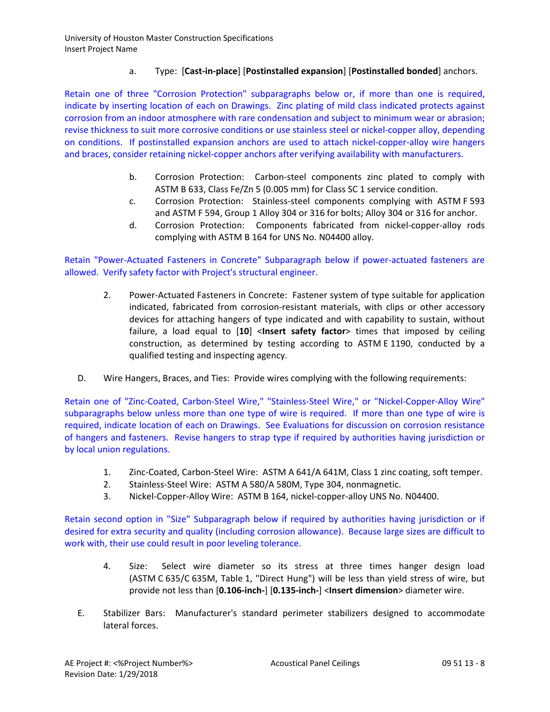# a. Type: [**Cast-in-place**] [**Postinstalled expansion**] [**Postinstalled bonded**] anchors.

Retain one of three "Corrosion Protection" subparagraphs below or, if more than one is required, indicate by inserting location of each on Drawings. Zinc plating of mild class indicated protects against corrosion from an indoor atmosphere with rare condensation and subject to minimum wear or abrasion; revise thickness to suit more corrosive conditions or use stainless steel or nickel-copper alloy, depending on conditions. If postinstalled expansion anchors are used to attach nickel-copper-alloy wire hangers and braces, consider retaining nickel-copper anchors after verifying availability with manufacturers.

- b. Corrosion Protection: Carbon-steel components zinc plated to comply with ASTM B 633, Class Fe/Zn 5 (0.005 mm) for Class SC 1 service condition.
- c. Corrosion Protection: Stainless-steel components complying with ASTM F 593 and ASTM F 594, Group 1 Alloy 304 or 316 for bolts; Alloy 304 or 316 for anchor.
- d. Corrosion Protection: Components fabricated from nickel-copper-alloy rods complying with ASTM B 164 for UNS No. N04400 alloy.

# Retain "Power-Actuated Fasteners in Concrete" Subparagraph below if power-actuated fasteners are allowed. Verify safety factor with Project's structural engineer.

- 2. Power-Actuated Fasteners in Concrete: Fastener system of type suitable for application indicated, fabricated from corrosion-resistant materials, with clips or other accessory devices for attaching hangers of type indicated and with capability to sustain, without failure, a load equal to [**10**] <**Insert safety factor**> times that imposed by ceiling construction, as determined by testing according to ASTM E 1190, conducted by a qualified testing and inspecting agency.
- D. Wire Hangers, Braces, and Ties: Provide wires complying with the following requirements:

Retain one of "Zinc-Coated, Carbon-Steel Wire," "Stainless-Steel Wire," or "Nickel-Copper-Alloy Wire" subparagraphs below unless more than one type of wire is required. If more than one type of wire is required, indicate location of each on Drawings. See Evaluations for discussion on corrosion resistance of hangers and fasteners. Revise hangers to strap type if required by authorities having jurisdiction or by local union regulations.

- 1. Zinc-Coated, Carbon-Steel Wire: ASTM A 641/A 641M, Class 1 zinc coating, soft temper.
- 2. Stainless-Steel Wire: ASTM A 580/A 580M, Type 304, nonmagnetic.
- 3. Nickel-Copper-Alloy Wire: ASTM B 164, nickel-copper-alloy UNS No. N04400.

Retain second option in "Size" Subparagraph below if required by authorities having jurisdiction or if desired for extra security and quality (including corrosion allowance). Because large sizes are difficult to work with, their use could result in poor leveling tolerance.

- 4. Size: Select wire diameter so its stress at three times hanger design load (ASTM C 635/C 635M, Table 1, "Direct Hung") will be less than yield stress of wire, but provide not less than [**0.106-inch-**] [**0.135-inch-**] <**Insert dimension**> diameter wire.
- E. Stabilizer Bars: Manufacturer's standard perimeter stabilizers designed to accommodate lateral forces.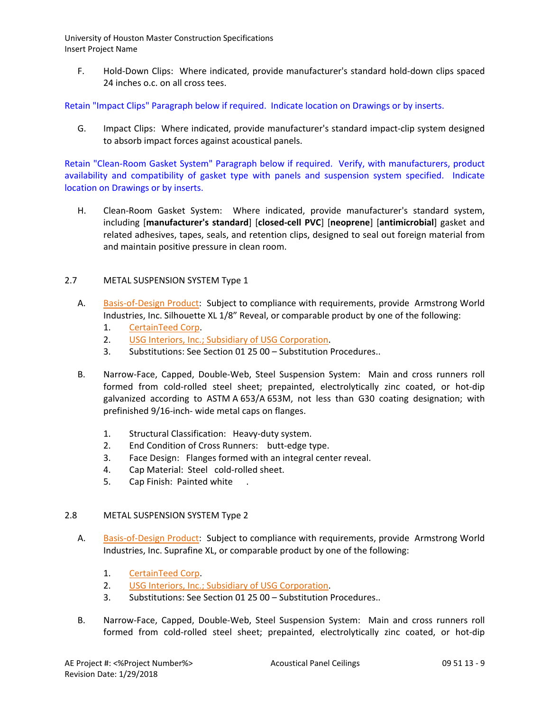F. Hold-Down Clips: Where indicated, provide manufacturer's standard hold-down clips spaced 24 inches o.c. on all cross tees.

Retain "Impact Clips" Paragraph below if required. Indicate location on Drawings or by inserts.

G. Impact Clips: Where indicated, provide manufacturer's standard impact-clip system designed to absorb impact forces against acoustical panels.

Retain "Clean-Room Gasket System" Paragraph below if required. Verify, with manufacturers, product availability and compatibility of gasket type with panels and suspension system specified. Indicate location on Drawings or by inserts.

H. Clean-Room Gasket System: Where indicated, provide manufacturer's standard system, including [**manufacturer's standard**] [**closed-cell PVC**] [**neoprene**] [**antimicrobial**] gasket and related adhesives, tapes, seals, and retention clips, designed to seal out foreign material from and maintain positive pressure in clean room.

## 2.7 METAL SUSPENSION SYSTEM Type 1

- A. [Basis-of-Design Product:](http://www.specagent.com/LookUp/?ulid=345&mf=04&src=wd) Subject to compliance with requirements, provide Armstrong World Industries, Inc. Silhouette XL 1/8" Reveal, or comparable product by one of the following:
	- 1. [CertainTeed Corp.](http://www.specagent.com/LookUp/?uid=123456792930&mf=04&src=wd)
	- 2. [USG Interiors, Inc.; Subsidiary of USG Corporation.](http://www.specagent.com/LookUp/?uid=123456815587&mf=04&src=wd)
	- 3. Substitutions: See Section 01 25 00 Substitution Procedures..
- B. Narrow-Face, Capped, Double-Web, Steel Suspension System: Main and cross runners roll formed from cold-rolled steel sheet; prepainted, electrolytically zinc coated, or hot-dip galvanized according to ASTM A 653/A 653M, not less than G30 coating designation; with prefinished 9/16-inch- wide metal caps on flanges.
	- 1. Structural Classification: Heavy-duty system.
	- 2. End Condition of Cross Runners: butt-edge type.
	- 3. Face Design: Flanges formed with an integral center reveal.
	- 4. Cap Material: Steel cold-rolled sheet.
	- 5. Cap Finish: Painted white .

## 2.8 METAL SUSPENSION SYSTEM Type 2

- A. [Basis-of-Design Product:](http://www.specagent.com/LookUp/?ulid=345&mf=04&src=wd) Subject to compliance with requirements, provide Armstrong World Industries, Inc. Suprafine XL, or comparable product by one of the following:
	- 1. [CertainTeed Corp.](http://www.specagent.com/LookUp/?uid=123456792930&mf=04&src=wd)
	- 2. [USG Interiors, Inc.; Subsidiary of USG Corporation.](http://www.specagent.com/LookUp/?uid=123456815587&mf=04&src=wd)
	- 3. Substitutions: See Section 01 25 00 Substitution Procedures..
- B. Narrow-Face, Capped, Double-Web, Steel Suspension System: Main and cross runners roll formed from cold-rolled steel sheet; prepainted, electrolytically zinc coated, or hot-dip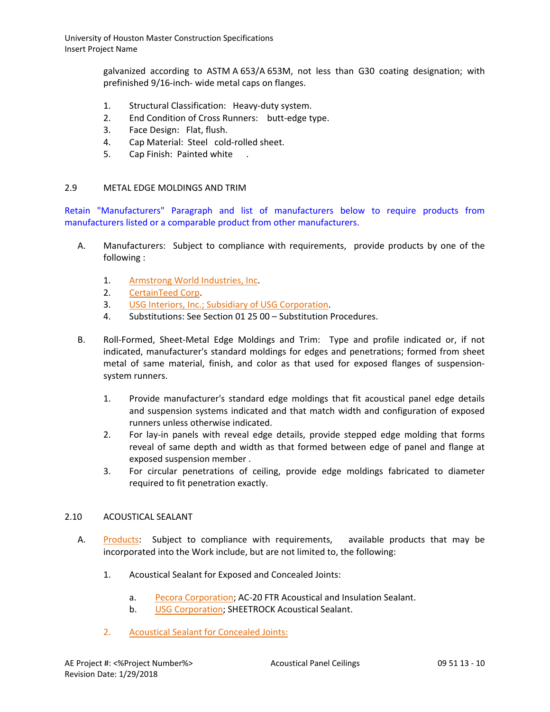galvanized according to ASTM A 653/A 653M, not less than G30 coating designation; with prefinished 9/16-inch- wide metal caps on flanges.

- 1. Structural Classification: Heavy-duty system.
- 2. End Condition of Cross Runners: butt-edge type.
- 3. Face Design: Flat, flush.
- 4. Cap Material: Steel cold-rolled sheet.
- 5. Cap Finish: Painted white

## 2.9 METAL EDGE MOLDINGS AND TRIM

Retain "Manufacturers" Paragraph and list of manufacturers below to require products from manufacturers listed or a comparable product from other manufacturers.

- A. Manufacturers: Subject to compliance with requirements, provide products by one of the following :
	- 1. [Armstrong World Industries, Inc.](http://www.specagent.com/LookUp/?uid=123456792935&mf=04&src=wd)
	- 2. [CertainTeed Corp.](http://www.specagent.com/LookUp/?uid=123456792937&mf=04&src=wd)
	- 3. [USG Interiors, Inc.; Subsidiary of USG Corporation.](http://www.specagent.com/LookUp/?uid=123456815588&mf=04&src=wd)
	- 4. Substitutions: See Section 01 25 00 Substitution Procedures.
- B. Roll-Formed, Sheet-Metal Edge Moldings and Trim: Type and profile indicated or, if not indicated, manufacturer's standard moldings for edges and penetrations; formed from sheet metal of same material, finish, and color as that used for exposed flanges of suspensionsystem runners.
	- 1. Provide manufacturer's standard edge moldings that fit acoustical panel edge details and suspension systems indicated and that match width and configuration of exposed runners unless otherwise indicated.
	- 2. For lay-in panels with reveal edge details, provide stepped edge molding that forms reveal of same depth and width as that formed between edge of panel and flange at exposed suspension member .
	- 3. For circular penetrations of ceiling, provide edge moldings fabricated to diameter required to fit penetration exactly.

## 2.10 ACOUSTICAL SEALANT

- A. [Products:](http://www.specagent.com/LookUp/?ulid=347&mf=04&src=wd) Subject to compliance with requirements, available products that may be incorporated into the Work include, but are not limited to, the following:
	- 1. Acoustical Sealant for Exposed and Concealed Joints:
		- a. [Pecora Corporation;](http://www.specagent.com/LookUp/?uid=123456826024&mf=04&src=wd) AC-20 FTR Acoustical and Insulation Sealant.
		- b. [USG Corporation;](http://www.specagent.com/LookUp/?uid=123456826025&mf=04&src=wd) SHEETROCK Acoustical Sealant.
	- 2. [Acoustical Sealant for Concealed Joints:](http://www.specagent.com/LookUp/?ulid=348&mf=04&src=wd)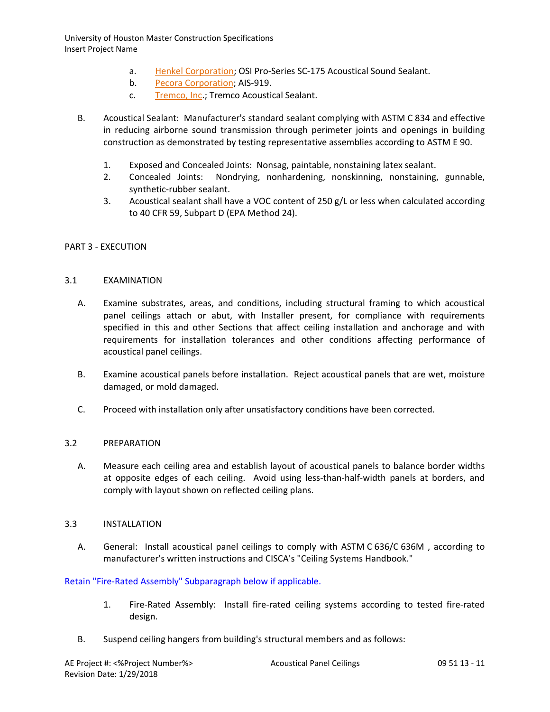- a. [Henkel Corporation;](http://www.specagent.com/LookUp/?uid=123456826026&mf=04&src=wd) OSI Pro-Series SC-175 Acoustical Sound Sealant.
- b. [Pecora Corporation;](http://www.specagent.com/LookUp/?uid=123456826027&mf=04&src=wd) AIS-919.
- c. [Tremco, Inc.](http://www.specagent.com/LookUp/?uid=123456826028&mf=04&src=wd); Tremco Acoustical Sealant.
- B. Acoustical Sealant: Manufacturer's standard sealant complying with ASTM C 834 and effective in reducing airborne sound transmission through perimeter joints and openings in building construction as demonstrated by testing representative assemblies according to ASTM E 90.
	- 1. Exposed and Concealed Joints: Nonsag, paintable, nonstaining latex sealant.
	- 2. Concealed Joints: Nondrying, nonhardening, nonskinning, nonstaining, gunnable, synthetic-rubber sealant.
	- 3. Acoustical sealant shall have a VOC content of 250 g/L or less when calculated according to 40 CFR 59, Subpart D (EPA Method 24).

## PART 3 - EXECUTION

## 3.1 EXAMINATION

- A. Examine substrates, areas, and conditions, including structural framing to which acoustical panel ceilings attach or abut, with Installer present, for compliance with requirements specified in this and other Sections that affect ceiling installation and anchorage and with requirements for installation tolerances and other conditions affecting performance of acoustical panel ceilings.
- B. Examine acoustical panels before installation. Reject acoustical panels that are wet, moisture damaged, or mold damaged.
- C. Proceed with installation only after unsatisfactory conditions have been corrected.

## 3.2 PREPARATION

A. Measure each ceiling area and establish layout of acoustical panels to balance border widths at opposite edges of each ceiling. Avoid using less-than-half-width panels at borders, and comply with layout shown on reflected ceiling plans.

### 3.3 INSTALLATION

A. General: Install acoustical panel ceilings to comply with ASTM C 636/C 636M , according to manufacturer's written instructions and CISCA's "Ceiling Systems Handbook."

## Retain "Fire-Rated Assembly" Subparagraph below if applicable.

- 1. Fire-Rated Assembly: Install fire-rated ceiling systems according to tested fire-rated design.
- B. Suspend ceiling hangers from building's structural members and as follows: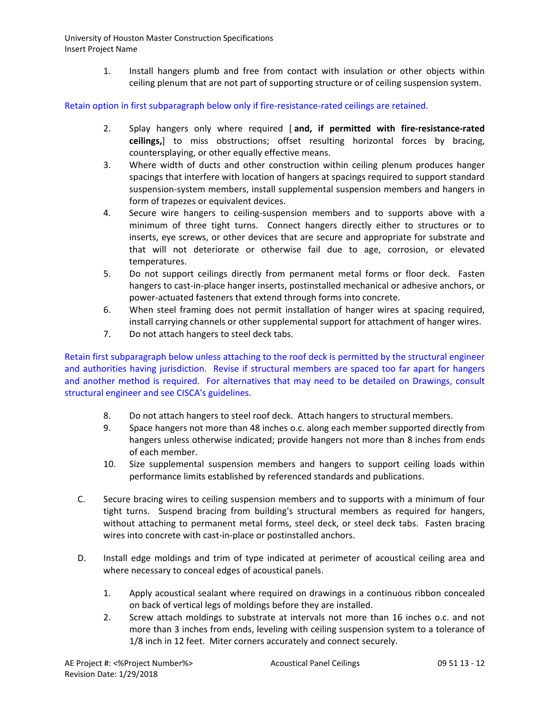> 1. Install hangers plumb and free from contact with insulation or other objects within ceiling plenum that are not part of supporting structure or of ceiling suspension system.

Retain option in first subparagraph below only if fire-resistance-rated ceilings are retained.

- 2. Splay hangers only where required [ **and, if permitted with fire-resistance-rated ceilings,**] to miss obstructions; offset resulting horizontal forces by bracing, countersplaying, or other equally effective means.
- 3. Where width of ducts and other construction within ceiling plenum produces hanger spacings that interfere with location of hangers at spacings required to support standard suspension-system members, install supplemental suspension members and hangers in form of trapezes or equivalent devices.
- 4. Secure wire hangers to ceiling-suspension members and to supports above with a minimum of three tight turns. Connect hangers directly either to structures or to inserts, eye screws, or other devices that are secure and appropriate for substrate and that will not deteriorate or otherwise fail due to age, corrosion, or elevated temperatures.
- 5. Do not support ceilings directly from permanent metal forms or floor deck. Fasten hangers to cast-in-place hanger inserts, postinstalled mechanical or adhesive anchors, or power-actuated fasteners that extend through forms into concrete.
- 6. When steel framing does not permit installation of hanger wires at spacing required, install carrying channels or other supplemental support for attachment of hanger wires.
- 7. Do not attach hangers to steel deck tabs.

Retain first subparagraph below unless attaching to the roof deck is permitted by the structural engineer and authorities having jurisdiction. Revise if structural members are spaced too far apart for hangers and another method is required. For alternatives that may need to be detailed on Drawings, consult structural engineer and see CISCA's guidelines.

- 8. Do not attach hangers to steel roof deck. Attach hangers to structural members.
- 9. Space hangers not more than 48 inches o.c. along each member supported directly from hangers unless otherwise indicated; provide hangers not more than 8 inches from ends of each member.
- 10. Size supplemental suspension members and hangers to support ceiling loads within performance limits established by referenced standards and publications.
- C. Secure bracing wires to ceiling suspension members and to supports with a minimum of four tight turns. Suspend bracing from building's structural members as required for hangers, without attaching to permanent metal forms, steel deck, or steel deck tabs. Fasten bracing wires into concrete with cast-in-place or postinstalled anchors.
- D. Install edge moldings and trim of type indicated at perimeter of acoustical ceiling area and where necessary to conceal edges of acoustical panels.
	- 1. Apply acoustical sealant where required on drawings in a continuous ribbon concealed on back of vertical legs of moldings before they are installed.
	- 2. Screw attach moldings to substrate at intervals not more than 16 inches o.c. and not more than 3 inches from ends, leveling with ceiling suspension system to a tolerance of 1/8 inch in 12 feet. Miter corners accurately and connect securely.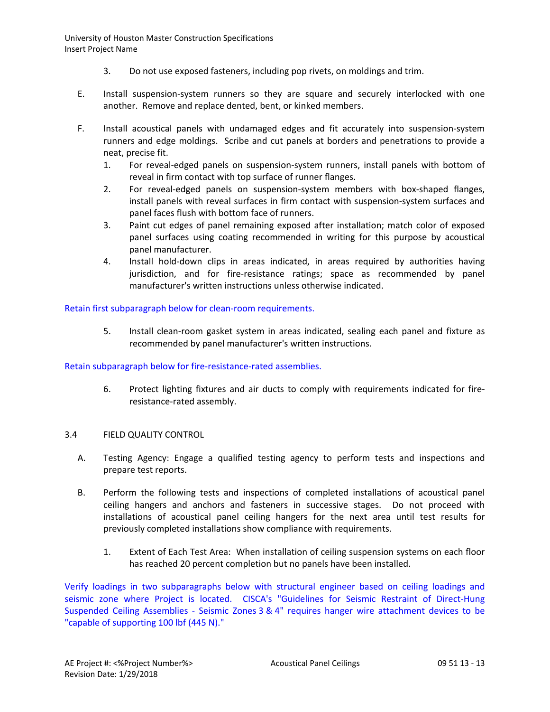- 3. Do not use exposed fasteners, including pop rivets, on moldings and trim.
- E. Install suspension-system runners so they are square and securely interlocked with one another. Remove and replace dented, bent, or kinked members.
- F. Install acoustical panels with undamaged edges and fit accurately into suspension-system runners and edge moldings. Scribe and cut panels at borders and penetrations to provide a neat, precise fit.
	- 1. For reveal-edged panels on suspension-system runners, install panels with bottom of reveal in firm contact with top surface of runner flanges.
	- 2. For reveal-edged panels on suspension-system members with box-shaped flanges, install panels with reveal surfaces in firm contact with suspension-system surfaces and panel faces flush with bottom face of runners.
	- 3. Paint cut edges of panel remaining exposed after installation; match color of exposed panel surfaces using coating recommended in writing for this purpose by acoustical panel manufacturer.
	- 4. Install hold-down clips in areas indicated, in areas required by authorities having jurisdiction, and for fire-resistance ratings; space as recommended by panel manufacturer's written instructions unless otherwise indicated.

Retain first subparagraph below for clean-room requirements.

5. Install clean-room gasket system in areas indicated, sealing each panel and fixture as recommended by panel manufacturer's written instructions.

## Retain subparagraph below for fire-resistance-rated assemblies.

6. Protect lighting fixtures and air ducts to comply with requirements indicated for fireresistance-rated assembly.

## 3.4 FIELD QUALITY CONTROL

- A. Testing Agency: Engage a qualified testing agency to perform tests and inspections and prepare test reports.
- B. Perform the following tests and inspections of completed installations of acoustical panel ceiling hangers and anchors and fasteners in successive stages. Do not proceed with installations of acoustical panel ceiling hangers for the next area until test results for previously completed installations show compliance with requirements.
	- 1. Extent of Each Test Area: When installation of ceiling suspension systems on each floor has reached 20 percent completion but no panels have been installed.

Verify loadings in two subparagraphs below with structural engineer based on ceiling loadings and seismic zone where Project is located. CISCA's "Guidelines for Seismic Restraint of Direct-Hung Suspended Ceiling Assemblies - Seismic Zones 3 & 4" requires hanger wire attachment devices to be "capable of supporting 100 lbf (445 N)."